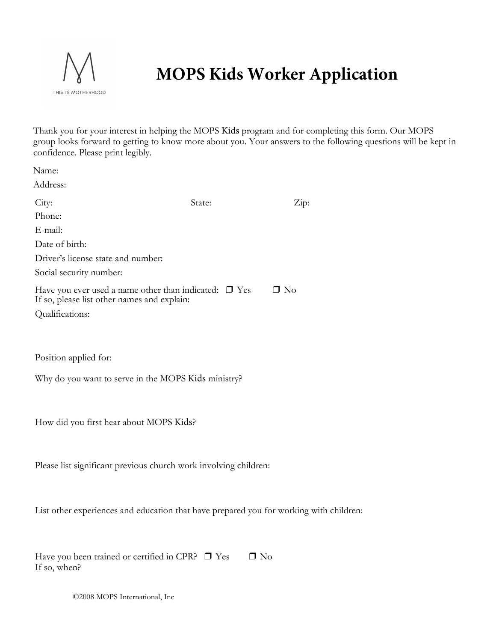

## **MOPS Kids Worker Application**

Thank you for your interest in helping the MOPS Kids program and for completing this form. Our MOPS group looks forward to getting to know more about you. Your answers to the following questions will be kept in confidence. Please print legibly.

| Name:                                                                                                     |           |                       |
|-----------------------------------------------------------------------------------------------------------|-----------|-----------------------|
| Address:                                                                                                  |           |                       |
| City:                                                                                                     | State:    | $\operatorname{Zip:}$ |
| Phone:                                                                                                    |           |                       |
| E-mail:                                                                                                   |           |                       |
| Date of birth:                                                                                            |           |                       |
| Driver's license state and number:                                                                        |           |                       |
| Social security number:                                                                                   |           |                       |
| Have you ever used a name other than indicated: $\Box$ Yes<br>If so, please list other names and explain: | $\Box$ No |                       |
| Qualifications:                                                                                           |           |                       |
|                                                                                                           |           |                       |
|                                                                                                           |           |                       |
|                                                                                                           |           |                       |

Position applied for:

Why do you want to serve in the MOPS Kids ministry?

How did you first hear about MOPS Kids?

Please list significant previous church work involving children:

List other experiences and education that have prepared you for working with children:

| Have you been trained or certified in CPR? $\Box$ Yes | $\Box$ No |
|-------------------------------------------------------|-----------|
| If so, when?                                          |           |

©2008 MOPS International, Inc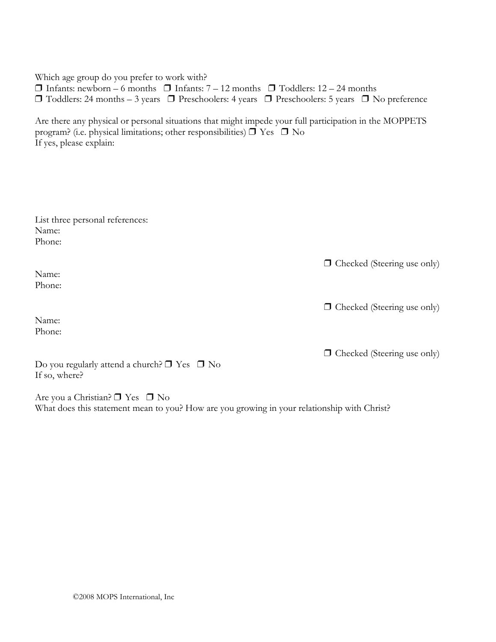Which age group do you prefer to work with?  $\Box$  Infants: newborn – 6 months  $\Box$  Infants: 7 – 12 months  $\Box$  Toddlers: 12 – 24 months ❒ Toddlers: 24 months – 3 years ❒ Preschoolers: 4 years ❒ Preschoolers: 5 years ❒ No preference

Are there any physical or personal situations that might impede your full participation in the MOPPETS program? (i.e. physical limitations; other responsibilities)  $\Box$  Yes  $\Box$  No If yes, please explain:

| List three personal references: |
|---------------------------------|
| Name:                           |
| Phone:                          |

❒ Checked (Steering use only)

❒ Checked (Steering use only)

Phone:

Name: Phone:

Are you a Christian? ❒ Yes ❒ No What does this statement mean to you? How are you growing in your relationship with Christ?

©2008 MOPS International, Inc

Do you regularly attend a church? ❒ Yes ❒ No If so, where?

Name:

❒ Checked (Steering use only)